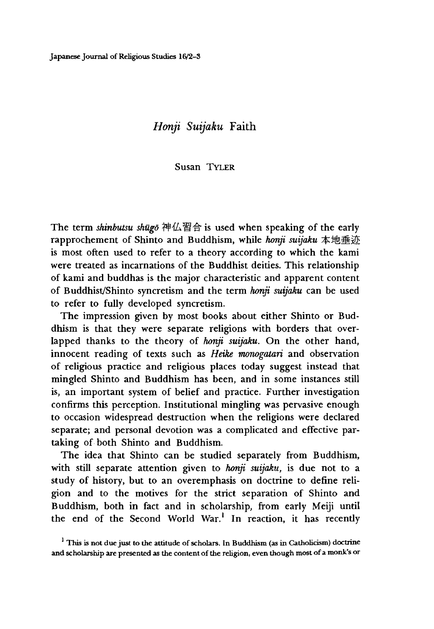Japanese Journal of Religious Studies 16/2-3

# *Honji Suijaku* **Faith**

#### Susan Tyler

The term *shinbutsu shugo* 神仏習合 is used when speaking of the early rapprochement of Shinto and Buddhism, while *honji suijaku* 本地垂逆 is most often used to refer to a theory according to which the kami were treated as incarnations of the Buddhist deities. This relationship 01 kami and buddhas is the major characteristic and apparent content of Buddhist/Shinto syncretism and the term *konjt suijaku* can be used to refer to fully developed syncretism.

The impression given by most books about either Shinto or Buddhism is that they were separate religions with borders that overlapped thanks to the theory of *honji suijaku.* On the other hand, innocent reading of texts such as *Heike monogatari* and observation of religious practice and religious places today suggest instead that mingled Shinto and Buddhism has been, and in some instances still is, an important system of belief and practice. Further investigation confirms this perception. Institutional mingling was pervasive enough to occasion widespread destruction when the religions were declared separate; and personal devotion was a complicated and effective partaking of both Shinto and Buddhism.

The idea that Shinto can be studied separately from Buddhism, with still separate attention given to *honji suijaku,* is due not to a study of history, but to an overemphasis on doctrine to define religion and to the motives for the strict separation of Shinto and Buddhism, both in fact and in scholarship, from early Meiji until the end of the Second World War.<sup>1</sup> In reaction, it has recently

 $<sup>1</sup>$  This is not due just to the attitude of scholars. In Buddhism (as in Catholicism) doctrine</sup> and scholarship are presented as the content of the religion, even though most of a monk's or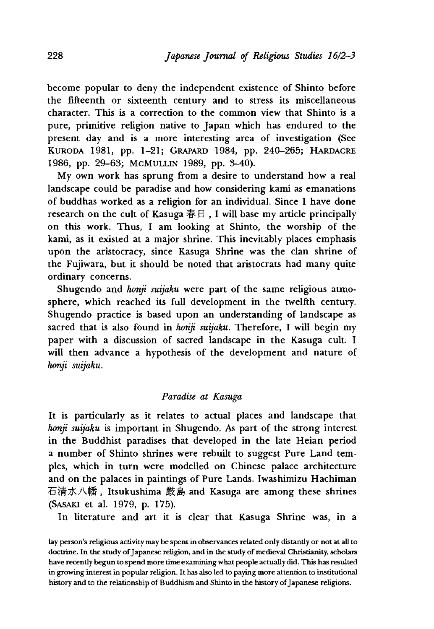become popular to deny the independent existence of Shinto before the fifteenth or sixteenth century and to stress its miscellaneous character. This is a correction to the common view that Shinto is a pure, primitive religion native to Japan which has endured to the present day and is a more interesting area of investigation (See KURODA 1981, pp. 1-21; GRAPARD 1984, pp. 240-265; HARDACRE 1986, pp. 29-63; MCMULLIN 1989, pp. 3-40).

My own work has sprung from a desire to understand how a real landscape could be paradise and how considering kami as emanations of buddhas worked as a religion for an individual. Since I have done research on the cult of Kasuga 春日, I will base my article principally on this work. Thus, I am looking at Shinto, the worship of the kami, as it existed at a major shrine. This inevitably places emphasis upon the aristocracy, since Kasuga Shrine was the clan shrine of the Fujiwara, but it should be noted that aristocrats had many quite ordinary concerns.

Shugendo and *honji suijaku* were part of the same religious atmosphere, which reached its full development in the twelfth century. Shugendo practice is based upon an understanding of landscape as sacred that is also found in *honji suijaku.* Therefore, I will begin my paper with a discussion of sacred landscape in the Kasuga cult. I will then advance a hypothesis of the development and nature of *honjt suijaku.*

# *Paradise at Kasuga*

It is particularly as it relates to actual places and landscape that *honji suijaku* is important in Shugendo. As part of the strong interest in the Buddhist paradises that developed in the late Heian period a number of Shinto shrines were rebuilt to suggest Pure Land temples, which in turn were modelled on Chinese palace architecture and on the palaces in paintings of Pure Lands. Iwashimizu Hachiman 石清水八幡,Itsukushima 厳島 and Kasuga are among these shrines (SASAKI et al. 1979, p. 175).

In literature and art it is clear that Kasuga Shrine was, in a

lay person's religious activity may be spent in observances related only distantly or not at all to doctrine. In the study of Japanese religion, and in the study of medieval Christianity, scholars have recently begun to spend more time examining what people actually did. This has resulted in growing interest in popular religion. It has also led to paying more attention to institutional history and to the relationship of Buddhism and Shinto in the history of Japanese religions.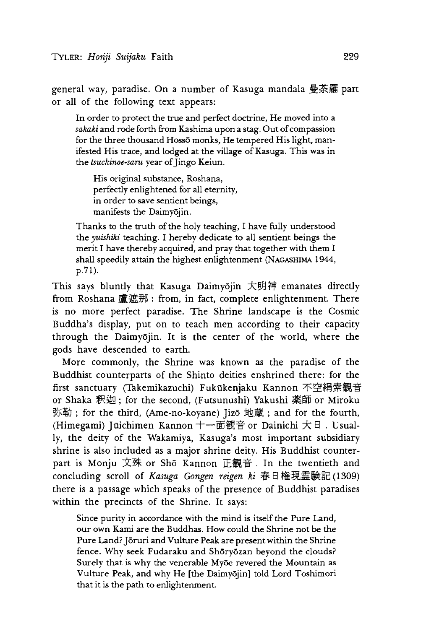general way, paradise. On a number of Kasuga mandala 曼荼羅 part or all of the following text appears:

In order to protect the true and perfect doctrine, He moved into a *sakaki* and rode forth from Kashima upon a stag. Out of compassion for the three thousand Hossō monks, He tempered His light, manifested His trace, and lodged at the village of Kasuga. This was in the *tsuchinoe-saru* year of Jingo Keiun,

His original substance, Roshana, perfectly enlightened for all eternity, in order to save sentient beings, manifests the Daimyojin.

Thanks to the truth of the holy teaching, I have fully understood the *yuishiki* teaching. I hereby dedicate to all sentient beings the merit I have thereby acquired, and pray that together with them I shall speedily attain the highest enlightenment (Nagashima 1944, P-71).

This says bluntly that Kasuga Daimyojin 大明神 emanates directly from Roshana 盧遮那: from, in fact, complete enlightenment. There is no more perfect paradise. The Shrine landscape is the Cosmic Buddha's display, put on to teach men according to their capacity through the Daimyojin. It is the center of the world, where the gods have descended to earth.

More commonly, the Shrine was known as the paradise of the Buddhist counterparts of the Shinto deities enshrined there: for the first sanctuary (Takemikazuchi) Fukūkenjaku Kannon 不空絹索観音 or Shaka 釈迦; for the second, (Futsunushi) Yakushi 薬師 or Miroku 弥勒; for the third, (Ame-no-koyane) Jizō 地蔵; and for the fourth, (Himegami) Jūichimen Kannon 十一面観音 or Dainichi 大日 . Usually, the deity of the Wakamiya, Kasuga's most important subsidiary shrine is also included as a major shrine deity. His Buddhist counterpart is Monju 文殊 or Sho Kannon 正観音. In the twentieth and concluding scroll of *Kasuga Gongen reigen ki* 春日権現霊験記(1309) there is a passage which speaks of the presence of Buddhist paradises within the precincts of the Shrine. It says:

Since purity in accordance with the mind is itself the Pure Land, our own Kami are the Buddhas. How could the Shrine not be the Pure Land? Jōruri and Vulture Peak are present within the Shrine fence. Why seek Fudaraku and Shōryōzan beyond the clouds? Surely that is why the venerable Myōe revered the Mountain as Vulture Peak, and why He [the Daimyojin] told Lord Toshimori that it is the path to enlightenment.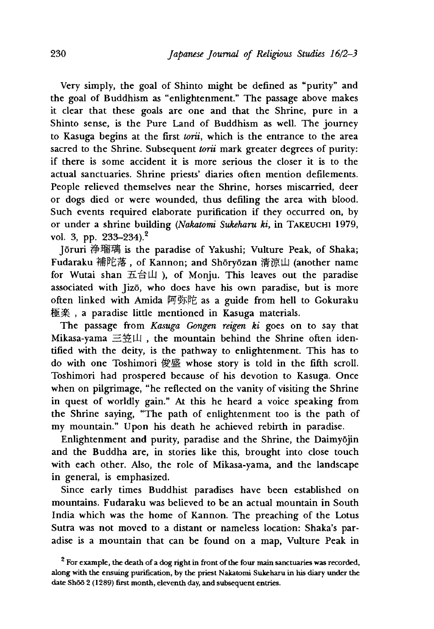Very simply, the goal of Shinto might be defined as "purity" and the goal of Buddhism as "enlightenment." The passage above makes it clear that these goals are one and that the Shrine, pure in a Shinto sense, is the Pure Land of Buddhism as well. The journey to Kasuga begins at the first *torii,* which is the entrance to the area sacred to the Shrine. Subsequent *torii* mark greater degrees of purity: if there is some accident it is more serious the closer it is to the actual sanctuaries. Shrine priests' diaries often mention defilements. People relieved themselves near the Shrine, horses miscarried, deer or dogs died or were wounded, thus defiling the area with blood. Such events required elaborate purification if they occurred on, by or under a shrine building *(Nakatomi Sukeharu ki* in Takeuchi 1979, vol. 3, pp.  $233-234$ ).<sup>2</sup>

Joruri 浄瑶璃 is the paradise of Yakushi; Vulture Peak, of Shaka; Fudaraku 補陀落, of Kannon; and Shōryōzan 清涼山 (another name for Wutai shan 五台山), of Monju. This leaves out the paradise associated with Jizo, who does have his own paradise, but is more often linked with Amida 阿弥陀 as a euide from hell to Gokuraku 極楽, a paradise little mentioned in Kasuga materials.

The passage from *Kasuga Gongen reigen ki* goes on to say that Mikasa-yama 三笠山, the mountain behind the Shrine often identified with the deity, is the pathway to enlightenment. This has to do with one Toshimori 俊盛 whose story is told in the fifth scroll. Toshimori had prospered because of his devotion to Kasuga. Once when on pilgrimage, "he reflected on the vanity of visiting the Shrine in quest of worldly gain." At this he heard a voice speaking from the Shrine saying, "The path of enlightenment too is the path of my mountain." Upon his death he achieved rebirth in paradise.

Enlightenment and purity, paradise and the Shrine, the Daimyojin and the Buddha are, in stories like this, brought into close touch with each other. Also, the role of Mikasa-yama, and the landscape in general, is emphasized.

Since early times Buddhist paradises have been established on mountains. Fudaraku was believed to be an actual mountain in South India which was the home of Kannon. The preaching of the Lotus Sutra was not moved to a distant or nameless location: Shaka's paradise is a mountain that can be found on a map, Vulture Peak in

<sup>&</sup>lt;sup>2</sup> For example, the death of a dog right in front of the four main sanctuaries was recorded, along with the ensuing purification, by the priest Nakatomi Sukeharu in his diary under the date Shōō 2 (1289) first month, eleventh day, and subsequent entries.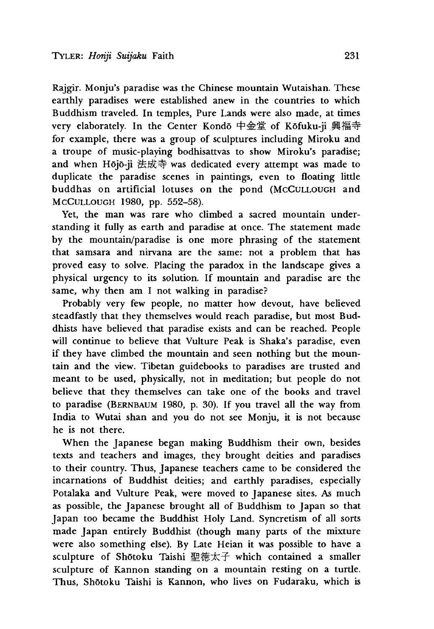Rajgir. Monju's paradise was the Chinese mountain Wutaishan. These earthly paradises were established anew in the countries to which Buddhism traveled. In temples, Pure Lands were also made, at times very elaborately. In the Center Kondo 中金堂 of Kofuku-ji 興福寺 for example, there was a group of sculptures including Miroku and a troupe of music-playing bodhisattvas to show Miroku's paradise; and when Hojo-ji 法成寺 was dedicated every attempt was made to duplicate the paradise scenes in paintings, even to floating little buddhas on artificial lotuses on the pond (McCULLOUGH and M cC ULLOUGH 1980, pp. 552-58).

Yet, the man was rare who climbed a sacred mountain understanding it fully as earth and paradise at once. The statement made by the mountain/paradise is one more phrasing of the statement that samsara and nirvana are the same: not a problem that has proved easy to solve. Placing the paradox in the landscape gives a physical urgency to its solution. If mountain and paradise are the same, why then am I not walking in paradise?

Probably very few people, no matter how devout, have believed steadfastly that they themselves would reach paradise, but most Buddhists have believed that paradise exists and can be reached. People will continue to believe that Vulture Peak is Shaka's paradise, even if they have climbed the mountain and seen nothing but the mountain and the view. Tibetan guidebooks to paradises are trusted and meant to be used, physically, not in meditation; but people do not believe that they themselves can take one of the books and travel to paradise (Bernbaum 1980, p. 30). If you travel all the way from India to Wutai shan and you do not see Monju, it is not because he is not there.

When the Japanese began making Buddhism their own, besides texts and teachers and images, they brought deities and paradises to their country. Thus, Japanese teachers came to be considered the incarnations of Buddhist deities; and earthly paradises, especially Potalaka and Vulture Peak, were moved to Japanese sites. As much as possible, the Japanese brought all of Buddhism to Japan so that Japan too became the Buddhist Holy Land. Syncretism of all sorts made Japan entirely Buddhist (though many parts of the mixture were also something else). By Late Heian it was possible to have a sculpture of Shotoku Taishi 聖徳太子 which contained a smaller sculpture of Kannon standing on a mountain resting on a turtle. Thus, Shōtoku Taishi is Kannon, who lives on Fudaraku, which is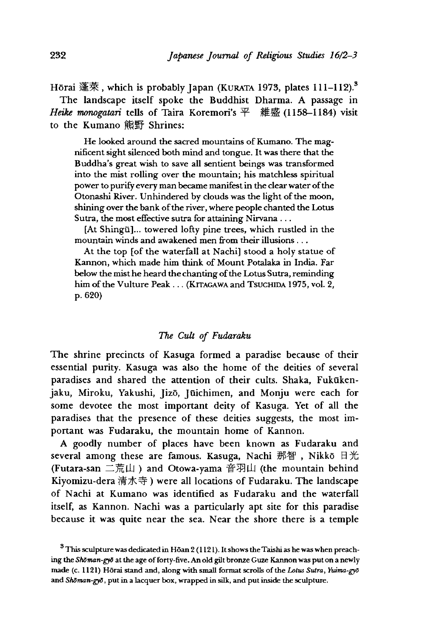Hōrai 蓬萊, which is probably Japan (KURATA 1973, plates 111-112).<sup>3</sup> The landscape itself spoke the Buddhist Dharma. A passage in *Heike monogatari* tells of Taira Koremori's 平 維盛  $(1158-1184)$  visit to the Kumano 熊野 Shrines:

*tie* looked around the sacred mountains of Kumano. The magnificent sight silencea both mind and tongue. It was there that the Buddha's great wish to save all sentient beings was transformed into the mist rolling over the mountain; his matchless spiritual power to purify every man became manifest in the clear water of the Otonashi River. Unhindered by clouds was the light of the moon, shining over the bank of the river, where people chanted the Lotus Sutra, the most effective sutra for attaining Nirvana ...

[At Shingū]... towered lofty pine trees, which rustled in the mountain winds and awakened men from their illusions ...

At the top [of the waterfall at Nachi] stood a holy statue of Kannon, which made him think of Mount Potalaka in India. Far below the mist he heard the chanting of the Lotus Sutra, reminding him of the Vulture Peak ... (KITAGAWA and TSUCHIDA 1975, vol. 2, p. 620)

# *The Cult of Fudaraku*

The shrine precincts of Kasuga formed a paradise because of their essential purity. Kasuga was also the home of the deities of several paradises and shared the attention of their cults. Shaka, Fukūkenjaku, Miroku, Yakushi, Jizō, Jūichimen, and Monju were each for some devotee the most important deity of Kasuga. Yet of all the paradises that the presence of these deities suggests, the most important was Fudaraku, the mountain home of Kannon.

A goodly number of places have been known as Fudaraku and several among these are famous. Kasuga, Nachi 那智, Nikkō 日光 (Futara-san ニ荒山) and Otowa-yama 音羽山(the mountain behind Kiyomizu-dera 清水寺) were all locations of Fudaraku. The landscape of Nachi at Kumano was identified as Fudaraku and the waterfall itself, as Kannon. Nachi was a particularly apt site for this paradise because it was quite near the sea. Near the shore there is a temple

 $3$  This sculpture was dedicated in Hoan 2 (1121). It shows the Taishi as he was when preaching the *Shdman-gyC* at the age of forty-five. An old gilt bronze Guze Kannon was put on a newly made (c. 1121) Horai stand and, along with small format scrolls of the *Lotus Sutra*, Yuima-gyo and *Sh5man~gyd*, put in a lacquer box, wrapped in silk, and put inside the sculpture.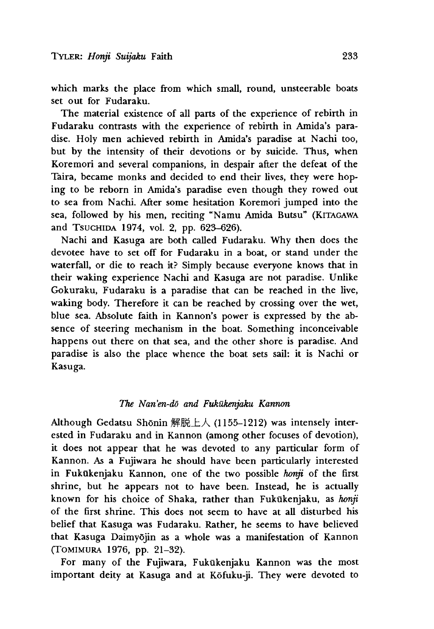which marks the place from which small, round, unsteerable boats set out for Fudaraku.

The material existence of all parts of the experience of rebirth in Fudaraku contrasts with the experience of rebirth in Amida's paradise. Holy men achieved rebirth in Amida's paradise at Nachi too, but by the intensity of their devotions or by suicide. Thus, when Koremori and several companions, in despair after the defeat of the Taira, became monks and decided to end their lives, they were hoping to be reborn in Amida's paradise even though they rowed out to sea from Nachi. After some hesitation Koremori jumped into the sea, followed by his men, reciting "Namu Amida Butsu" (KITAGAWA and Tsuchida 1974, vol. 2, pp. 623-626).

Nachi and Kasuga are both called Fudaraku. Why then does the devotee have to set off for Fudaraku in a boat, or stand under the waterfall, or die to reach it? Simply because everyone knows that in their waking experience Nachi and Kasuga are not paradise. Unlike Gokuraku, Fudaraku is a paradise that can be reached in the live, waking body. Therefore it can be reached by crossing over the wet, blue sea. Absolute faith in Kannon's power is expressed by the absence of steering mechanism in the boat Something inconceivable happens out there on that sea, and the other shore is paradise. And paradise is also the place whence the boat sets sail: it is Nachi or Kasuga.

## *The Nan'en-dd and Fukukenjaku Kannon*

Although Gedatsu Shōnin 解脱上人 (1155-1212) was intensely interested in Fudaraku and in Kannon (among other focuses of devotion), it does not appear that he was devoted to any particular form of Kannon. As a Fujiwara he should have been particularly interested in Fukukenjaku Kannon, one of the two possible *honji* of the first shrine, but he appears not to have been. Instead, he is actually known for his choice of Shaka, rather than Fukukenjaku, as *honji* of the first shrine. This does not seem to have at all disturbed his belief that Kasuga was Fudaraku. Rather, he seems to have believed that Kasuga Daimyojin as a whole was a manifestation of Kannon (TOMIMURA 1976, pp. 21-32).

For many of the Fujiwara, Fukūkenjaku Kannon was the most important deity at Kasuga and at Kofuku-ji. They were devoted to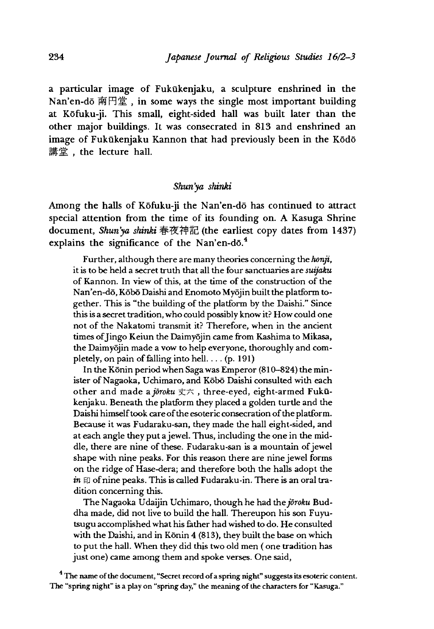a particular image of Fukūkenjaku, a sculpture enshrined in the Nan'en-do 南円呈, in some ways the single most important building at Kofuku-ji. This small, eight-sided hall was built later than the other major buildings. It was consecrated in 813 and enshrined an image of Fukūkenjaku Kannon that had previously been in the Kōdō 講堂, the lecture hall.

#### *Shun'ya shinki*

Among the halls of Kōfuku-ji the Nan'en-dō has continued to attract special attention from the time of its founding on. A Kasuga Shrine document, *Shun'ya shinki* 春夜神記(the earliest copy dates from 1437) explains the significance of the Nan'en-do.<sup>4</sup>

Further, although there are many theories concerning the *honji*, it is to be held a secret truth that all the four sanctuaries are *suijaku* of Kannon. In view of this, at the time of the construction of the Nan'en-do,Kobo Daishi and Enomoto Myojin built the platform together. This is "the building of the platform by the Daishi." Since this is a secret tradition, who could possibly know it? How could one not of the Nakatomi transmit it? Therefore, when in the ancient times of Jingo Keiun the Daimyōjin came from Kashima to Mikasa, the Daimyojin made a vow to help everyone, thoroughly and completely, on pain of falling into hell.  $\ldots$  (p. 191)

In the Konin period when Saga was Emperor (810-824) the minister of Nagaoka, Uchimaro, and Kōbō Daishi consulted with each other and made a *joroku* 丈六, three-eyed, eight-armed Fukukenjaku. Beneath the platform they placed a golden turtle and the Daishi himself took care of the esoteric consecration of the platform. Because it was Fudaraku-san, they made the hall eight-sided, and at each angle they put a jewel. Thus, including the one in the middle, there are nine of these. Fudaraku-san is a mountain of jewel shape with nine peaks. For this reason there are nine jewel forms on the ridge of Hase-dera; and therefore both the halls adopt the in  $\mathfrak m$  of nine peaks. This is called Fudaraku-in. There is an oral tradition concerning this.

1 he Nagaoka Udaijin Uchimaro, though he had *the joroku* Buddha made, did not live to build the hall. Thereupon his son Fuyutsugu accomplished what his father had wished to do. He consulted with the Daishi, and in Konin 4 (813), they built the base on which to put the hall. When they did this two old men ( one tradition has just one) came among them and spoke verses. One said,

 $^{4}$  The name of the document, "Secret record of a spring night" suggests its esoteric content. The "spring night" is a play on "spring day," the meaning of the characters for "Kasuga."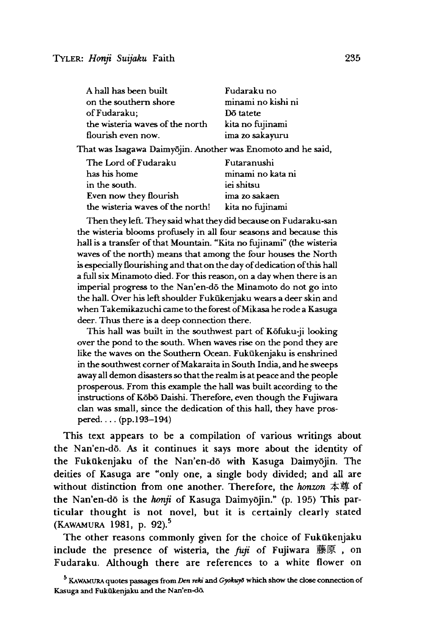| A hall has been built                                       | Fudaraku no        |
|-------------------------------------------------------------|--------------------|
| on the southern shore                                       | minami no kishi ni |
| of Fudaraku:                                                | Dō tatete          |
| the wisteria waves of the north                             | kita no fujinami   |
| flourish even now.                                          | ima zo sakayuru    |
| That was Isagawa Daimyōjin. Another was Enomoto and he said |                    |
| The Lord of Fudaraku                                        | Futaranushi        |

| THE LOTU OF FUGH AND             | r utal allusill   |
|----------------------------------|-------------------|
| has his home                     | minami no kata ni |
| in the south.                    | iei shitsu        |
| Even now they flourish           | ima zo sakaen     |
| the wisteria waves of the north! | kita no fujinami  |

Then they left. They said what they did because on Fudaraku-san the wisteria blooms profusely in all four seasons and because this hall is a transfer of that Mountain. "Kita no fujinami" (the wisteria waves of the north) means that among the four houses the North is especially flourishing and that on the day of dedication of this hall a full six Minamoto died. For this reason, on a day when there is an imperial progress to the Nan'en-do the Minamoto do not go into the hall. Over his left shoulder Fukūkenjaku wears a deer skin and when Takemikazuchi came to the forest of Mikasa he rode a Kasuga deer. Thus there is a deep connection there.

This hall was built in the southwest part of Kofuku-ji looking over the pond to the south. When waves rise on the pond they are like the waves on the Southern Ocean. Fukukenjaku is enshrined in the southwest corner ofMakaraita in South India, and he sweeps away all demon disasters so that the realm is at peace and the people prosperous. From this example the hall was built according to the instructions of Kobo Daishi. Therefore, even though the Fujiwara clan was small, since the dedication of this hall, they have prospered. . . . (pp. 193-194)

This text appears to be a compilation of various writings about the Nan'en'd5. As it continues it says more about the identity of the Fukūkenjaku of the Nan'en-dō with Kasuga Daimyōjin. The deities of Kasuga are "only one, a single body divided; and all are without distinction from one another. Therefore, the *honzon* 本尊 of the Nan'en-dō is the *honji* of Kasuga Daimyōjin." (p. 195) This particular thought is not novel, but it is certainly clearly stated (Kawamura 1981, p. 92).5

The other reasons commonly given for the choice of Fukūkenjaku include the presence of wisteria, the *fuji* of Fujiwara 藤原, on Fudaraku. Although there are references to a white flower on

<sup>&</sup>lt;sup>5</sup> KAWAMURA quotes passages from *Den reki* and *Gyokuyo* which show the close connection of Kasuga and Fukūkenjaku and the Nan'en-dō.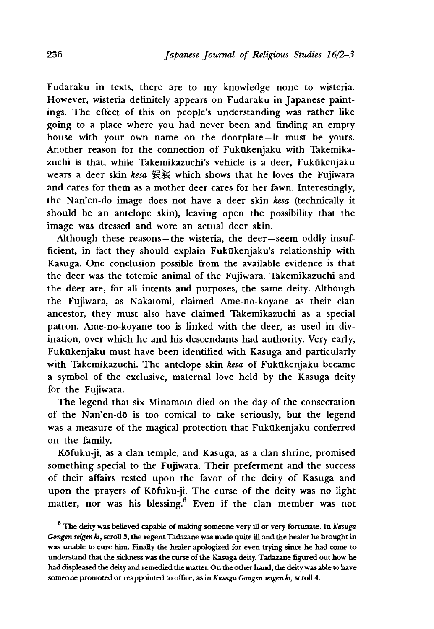Fudaraku in texts, there are to my knowledge none to wisteria. However, wisteria definitely appears on Fudaraku in Japanese paintings. The effect of this on people's understanding was rather like going to a place where you had never been and finding an empty house with your own name on the doorplate—it must be yours. Another reason for the connection of Fukūkenjaku with Takemikazuchi is that, while Takemikazuchi's vehicle is a deer, Fukūkenjaku wears a deer skin *kesa* 袈裟 which shows that he loves the Fujiwara and cares for them as a mother deer cares for her fawn. Interestingly, the Nan^n-do image does not have a deer skin *kesa* (technically it should be an antelope skin), leaving open the possibility that the image was dressed and wore an actual deer skin.

Although these reasons —the wisteria, the deer—seem oddly insufficient, in fact they should explain Fukūkenjaku's relationship with Kasuga. One conclusion possible from the available evidence is that the deer was the totemic animal of the Fujiwara. Takemikazuchi and the deer are, for all intents and purposes, the same deity. Although the Fujiwara, as Nakatomi, claimed Ame-no-koyane as their clan ancestor, they must also have claimed Takemikazuchi as a special patron. Ame-no-koyane too is linked with the deer, as used in divination, over which he and his descendants had authority. Very early, Fukūkenjaku must have been identified with Kasuga and particularly with Takemikazuchi. The antelope skin *kesa* of Fukūkenjaku became a symbol of the exclusive, maternal love held by the Kasuga deity for the Fujiwara.

The legend that six Minamoto died on the day of the consecration of the Nan\*en-do is too comical to take seriously, but the legend was a measure of the magical protection that Fukūkenjaku conferred on the family.

Kōfuku-ji, as a clan temple, and Kasuga, as a clan shrine, promised something special to the Fujiwara. Their preferment and the success of their aftairs rested upon the favor of the deity of Kasuga and upon the prayers of Kofuku-ji. The curse of the deity was no light matter, nor was his blessing. $6$  Even if the clan member was not

<sup>&</sup>lt;sup>6</sup> The deity was believed capable of making someone very ill or very fortunate. In *Kasuga* Gongen reigen ki, scroll 3, the regent Tadazane was made quite ill and the healer he brought in was unable to cure him. Finally the healer apologized for even trying since he had come to understand that the sickness was the curse of the Kasuga deity. Tadazane figured out how he had displeased the deity and remedied the matter. On the other hand, the deity was able to have someone promoted or reappointed to office, as in *Kasuga Gongen reigen ki,* scroll 4.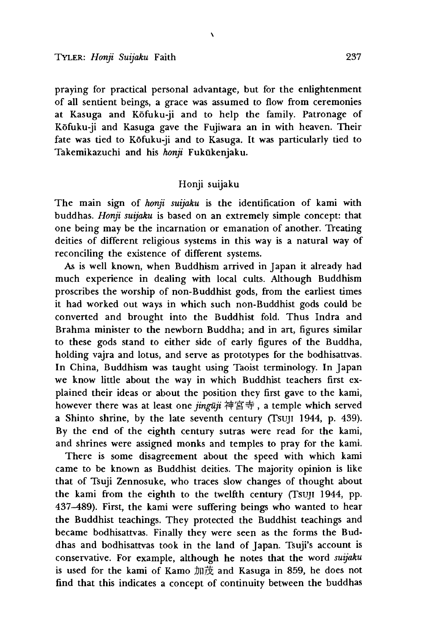praying for practical personal advantage, but for the enlightenment of all sentient beings, a grace was assumed to flow from ceremonies at Kasuga and Kōfuku-ji and to help the family. Patronage of Kofuku-ji and Kasuga gave the Fujiwara an in with heaven. Their fate was tied to Kofuku-ji and to Kasuga. It was particularly tied to Takemikazuchi and his *honji* Fukūkenjaku.

 $\lambda$ 

## Honji suijaku

The main sign of *honji suijaku* is the identification of kami with buddhas. *Honji suijaku* is based on an extremely simple concept: that one being may be the incarnation or emanation of another. Treating deities of different religious systems in this way is a natural way of reconciling the existence of different systems.

As is well known, when Buddhism arrived in Japan it already had much experience in dealing with local cults. Although Buddhism proscribes the worship of non-Buddhist gods, from the earliest times it had worked out ways in which such non-Buddhist gods could be converted and brought into the Buddhist fold. Thus Indra and Brahma minister to the newborn Buddha; and in art, figures similar to these gods stand to either side of early figures of the Buddha, holding vajra and lotus, and serve as prototypes for the bodhisattvas. In China, Buddhism was taught using Taoist terminology. In Japan we know little about the way in which Buddhist teachers first explained their ideas or about the position they first gave to the kami, however there was at least one *jingūji* 神宮寺, a temple which served a Shinto shrine, by the late seventh century (Tsuji 1944, p. 439). By the end of the eighth century sutras were read for the kami, and shrines were assigned monks and temples to pray for the kami.

There is some disagreement about the speed with which kami came to be known as Buddhist deities. The majority opinion is like that of Tsuji Zennosuke, who traces slow changes of thought about the kami from the eighth to the twelfth century (Tsuji 1944, pp. 437-489). First, the kami were suffering beings who wanted to hear the Buddhist teachings. They protected the Buddhist teachings and became bodhisattvas. Finally they were seen as the forms the Buddhas and bodhisattvas took in the land of Japan. Tsuji's account is conservative. For example, although he notes that the word *suijaku* is used for the kami of Kamo 加茂 and Kasuga in 859, he does not find that this indicates a concept of continuity between the buddhas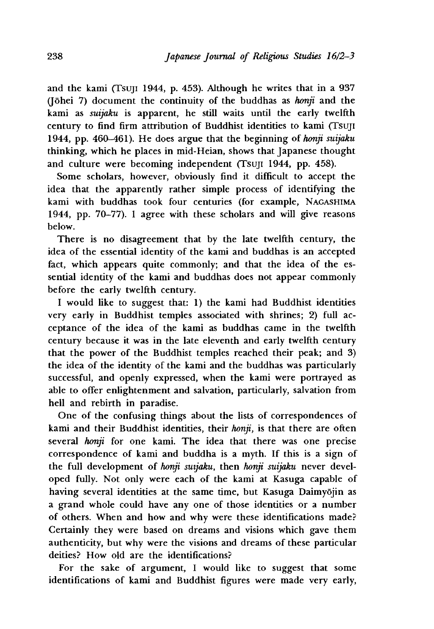and the kami (Tsuji 1944, p. 453). Although he writes that in a 937 (Johei 7) document the continuity of the buddhas as *honjt* and the kami as *suijaku* is apparent, he still waits until the early twelfth century to find firm attribution of Buddhist identities to kami (Tsuji 1944, pp. 460-461). He does argue that the beginning of *honji suijaku* thinking, which he places in mid-Heian, shows that Japanese thought and culture were becoming independent (Tsuji 1944, pp. 458).

Some scholars, however, obviously find it difficult to accept the idea that the apparently rather simple process of identifying the kami with buddhas took four centuries (for example, Nagashima 1944, pp. 70-77).1 agree with these scholars and will give reasons below.

There is no disagreement that by the late twelfth century, the idea of the essential identity of the kami and buddhas is an accepted fact, which appears quite commonly; and that the idea of the essential identity of the kami and buddhas does not appear commonly before the early twelfth century.

I would like to suggest that: 1) the kami had Buddhist identities very early in Buddhist temples associated with shrines; 2) full acceptance of the idea of the kami as buddhas came in the twelfth century because it was in the late eleventh and early twelfth century that the power of the Buddhist temples reached their peak; and 3) the idea of the identity of the kami and the buddhas was particularly successful, and openly expressed, when the kami were portrayed as able to offer enlightenment and salvation, particularly, salvation from hell and rebirth in paradise.

One of the confusing things about the lists of correspondences of kami and their Buddhist identities, their *honji,* is that there are often several *honji* for one kami. The idea that there was one precise correspondence of kami and buddha is a myth. If this is a sign of the full development of *honji suijaku,* then *honji suijaku* never developed fully. Not only were each of the kami at Kasuga capable of having several identities at the same time, but Kasuga Daimyojin as a grand whole could have any one of those identities or a number of others. When and how and why were these identifications made? Certainly they were based on dreams and visions which gave them authenticity, but why were the visions and dreams of these particular deities? How old are the identifications?

For the sake of argument, I would like to suggest that some identifications of kami and Buddhist figures were made very early,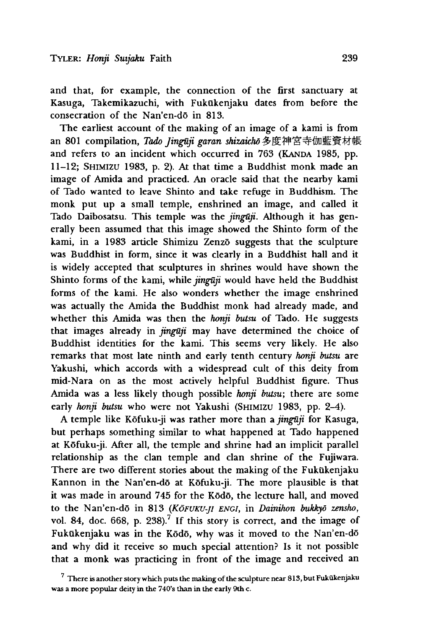and that, for example, the connection of the first sanctuary at Kasuga, Takemikazuchi, with Fukūkenjaku dates from before the consecration of the Nan'en-do in 813.

The earliest account of the making of an image of a kami is from an 801 compilation, *Tado Jingūji garan shizaichō* 多度神宮寺伽藍資材帳 and refers to an incident which occurred in 763 (KANDA 1985, pp. 11-12; SHIMIZU 1983, p. 2). At that time a Buddhist monk made an image of Amida and practiced. An oracle said that the nearby kami of Tado wanted to leave Shinto and take refuge in Buddhism. The monk put up a small temple, enshrined an image, and called it Tado Daibosatsu. This temple was the *jingujt.* Although it has generally been assumed that this image showed the Shinto form of the kami, in a 1983 article Shimizu Zenzo suggests that the sculpture was Buddhist in form, since it was clearly in a Buddhist hall and it is widely accepted that sculptures in shrines would have shown the Shinto forms of the kami, while *jinguji* would have held the Buddhist forms of the kami. He also wonders whether the image enshrined was actually the Amida the Buddhist monk had already made, and whether this Amida was then the *honji butsu* of Tado. He suggests that images already in *jinguji* may have determined the choice of Buddhist identities for the kami. This seems very likely. He also remarks that most late ninth and early tenth century *honji butsu* are Yakushi, which accords with a widespread cult of this deity from mid-Nara on as the most actively helpful Buddhist figure. Thus Amida was a less likely though possible *honjt butsu;* there are some early *honji butsu* who were not Yakushi (SHIMIZU 1983, pp. 2-4).

A temple like Kōfuku-ji was rather more than a *jingūji* for Kasuga, but perhaps something similar to what happened at Tado happened at Kofuku-ji. After all, the temple and shrine had an implicit parallel relationship as the clan temple and clan shrine of the Fujiwara. There are two different stories about the making of the Fukūkenjaku Kannon in the Nan\*en-do at Kofuku-ji. The more plausible is that it was made in around 745 for the Kōdō, the lecture hall, and moved to the Nan\*en-do in 813 *(K ofu ku-j i engi*,in *Dainihon bukkyd zensho,* vol. 84, doc. 668, p. 238).<sup>7</sup> If this story is correct, and the image of Fukūkenjaku was in the Kōdō, why was it moved to the Nan'en-dō and why did it receive so much special attention? Is it not possible that a monk was practicing in front of the image and received an

 $7$  There is another story which puts the making of the sculpture near 813, but Fukukenjaku was a more popular deity in the 740's than in the early 9th c.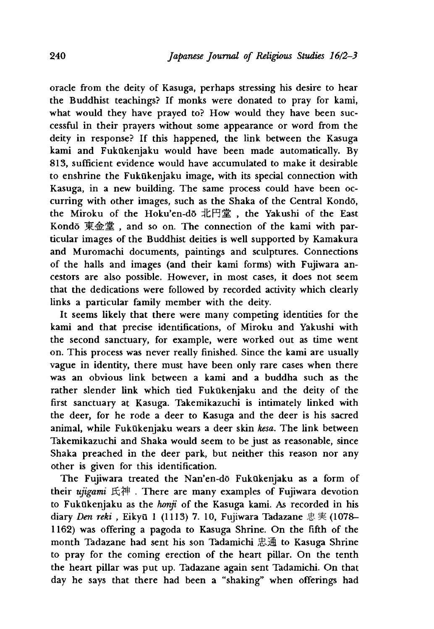oracle from the deity of Kasuga, perhaps stressing his desire to hear the Buddhist teachings? If monks were donated to pray for kami, what would they have prayed to? How would they have been successful in their prayers without some appearance or word from the deity in response? If this happened, the link between the Kasuga kami and Fukūkenjaku would have been made automatically. By 813, sufficient evidence would have accumulated to make it desirable to enshrine the Fukūkenjaku image, with its special connection with Kasuga, in a new building. The same process could have been occurring with other images, such as the Shaka of the Central Kondō, the Miroku of the Hoku'en-dō 北 円堂, the Yakushi of the East Kondō 東金堂, and so on. The connection of the kami with particular images of the Buddhist deities is well supported by Kamakura and Muromachi documents, paintings and sculptures. Connections of the halls and images (and their kami forms) with Fujiwara ancestors are also possible. However, in most cases, it does not seem that the dedications were followed by recorded activity which clearly links a particular family member with the deity.

It seems likely that there were many competing identities for the kami and that precise identifications, of Miroku and Yakushi with the second sanctuary, for example, were worked out as time went on. This process was never really finished. Since the kami are usually vague in identity, there must have been only rare cases when there was an obvious link between a kami and a buddha such as the rather slender link which tied Fukūkenjaku and the deity of the first sanctuary at Kasuga. Takemikazuchi is intimately linked with the deer, for he rode a deer to Kasuga and the deer is his sacred animal, while Fukūkenjaku wears a deer skin *kesa*. The link between Takemikazuchi and Shaka would seem to be just as reasonable, since Shaka preached in the deer park, but neither this reason nor any other is given for this identification.

The Fujiwara treated the Nan'en-dō Fukūkenjaku as a form of their *ujigami* 氏 神 . There are many examples of Fujiwara devotion to Fukūkenjaku as the *honji* of the Kasuga kami. As recorded in his diary *Den reki*, Eikyū 1 (1113) 7. 10, Fujiwara Tadazane 忠実 (1078-1162) was offering a pagoda to Kasuga Shrine. On the fifth of the month Tadazane had sent his son Tadamichi 忠通 to Kasuga Shrine to pray for the coming erection of the heart pillar. On the tenth the heart pillar was put up. Tadazane again sent Tadamichi. On that day he says that there had been a "shaking" when offerings had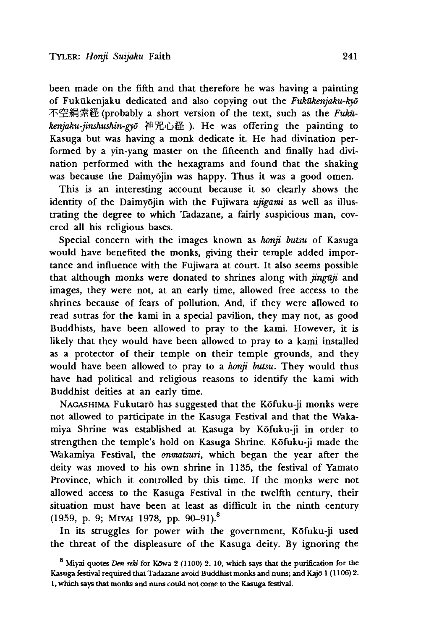been made on the fifth and that therefore he was having a painting of Fukukenjaku dedicated and also copying out the *Fvkukenjaku-kyo* 不空絹索経(probably a short version of the text, such as the *Fukukenjaku-jinshushin-gyd* 神咒心経) . He was offering the painting to Kasuga but was having a monk dedicate it. He had divination performed by a yin-yang master on the fifteenth and finally had divination performed with the hexagrams and found that the shaking was because the Daimyojin was happy. Thus it was a good omen.

This is an interesting account because it so clearly shows the identity of the Daimyojin with the Fujiwara *ujigami* as well as illustrating the degree to which Tadazane, a fairly suspicious man, covered all his religious bases.

Special concern with the images known as *honji butsu* of Kasuga would have benefited the monks, giving their temple added importance and influence with the Fujiwara at court. It also seems possible that although monks were donated to shrines along with *jinguji* and images, they were not, at an early time, allowed free access to the shrines because of fears of pollution. And, if they were allowed to read sutras for the kami in a special pavilion, they may not, as good Buddhists, have been allowed to pray to the kami. However, it is likely that they would have been allowed to pray to a kami installed as a protector of their temple on their temple grounds, and they would have been allowed to pray to a *honji butsu.* They would thus have had political and religious reasons to identify the kami with Buddhist deities at an early time.

NAGASHIMA Fukutarō has suggested that the Kōfuku-ji monks were not allowed to participate in the Kasuga Festival and that the Wakamiya Shrine was established at Kasuga by Kofuku-ji in order to strengthen the temple's hold on Kasuga Shrine. Kofuku-ji made the Wakamiya Festival, the *onmatsuri,* which began the year after the deity was moved to his own shrine in 1135, the festival of Yamato Province, which it controlled by this time. If the monks were not allowed access to the Kasuga Festival in the twelfth century, their situation must have been at least as difficult in the ninth century (1959, p. 9; MIYAI 1978, pp. 90-91).<sup>8</sup>

In its struggles for power with the government, Kofuku-ji used the threat of the displeasure of the Kasuga deity. By ignoring the

<sup>&</sup>lt;sup>8</sup> Miyai quotes *Den reki* for Kōwa 2 (1100) 2.10, which says that the purification for the Kasuga festival required that Tadazane avoid Buddhist monks and nuns; and Kajo 1(1106) 2. I, which says that monks and nuns could not come to the Kasuga festival.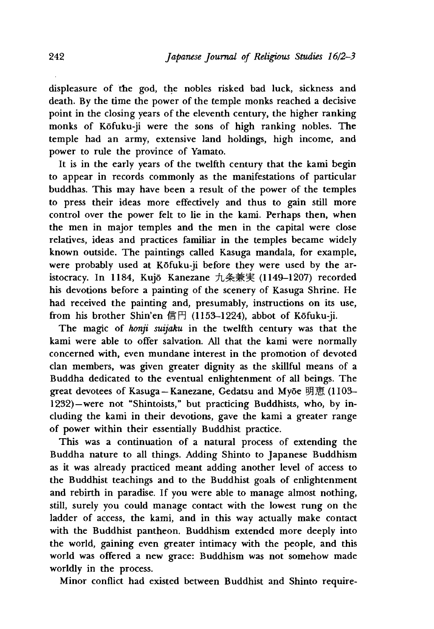displeasure of the god, the nobles risked bad luck, sickness and death. By the time the power of the temple monks reached a decisive point in the closing years of the eleventh century, the higher ranking monks of Kofuku-ji were the sons of high ranking nobles. The temple had an army, extensive land holdings, high income, and power to rule the province of Yamato.

It is in the early years of the twelfth century that the kami begin to appear in records commonly as the manifestations of particular buddhas. This may have been a result of the power of the temples to press their ideas more effectively and thus to gain still more control over the power felt to lie in the kami. Perhaps then, when the men in major temples and the men in the capital were close relatives, ideas and practices familiar in the temples became widely known outside. The paintings called Kasuga mandala, for example, were probably used at Kōfuku-ji before they were used by the aristocracy. In 1184, Kujō Kanezane 九条兼実 (1149-1207) recorded his devotions before a painting of the scenery of Kasuga Shrine. He had received the painting and, presumably, instructions on its use, from his brother Shin'en 信円 (1153-1224), abbot of Kōfuku-ji.

The magic of *honji suijaku* in the twelfth century was that the kami were able to offer salvation. All that the kami were normally concerned with, even mundane interest in the promotion of devoted clan members, was given greater dignity as the skillful means of a Buddha dedicated to the eventual enlightenment of all beings. The great devotees of Kasuga – Kanezane, Gedatsu and Myoe 明恵 (1103– 1232)—were not "Shintoists," but practicing Buddhists, who, by including the kami in their devotions, gave the kami a greater range of power within their essentially Buddhist practice.

This was a continuation of a natural process of extending the Buddha nature to all things. Adding Shinto to Japanese Buddhism as it was already practiced meant adding another level of access to the Buddhist teachings and to the Buddhist goals of enlightenment and rebirth in paradise. If you were able to manage almost nothing, still, surely you could manage contact with the lowest rung on the ladder of access, the kami, and in this way actually make contact with the Buddhist pantheon. Buddhism extended more deeply into the world, gaining even greater intimacy with the people, and this world was offered a new grace: Buddhism was not somehow made worldly in the process.

Minor conflict had existed between Buddhist and Shinto require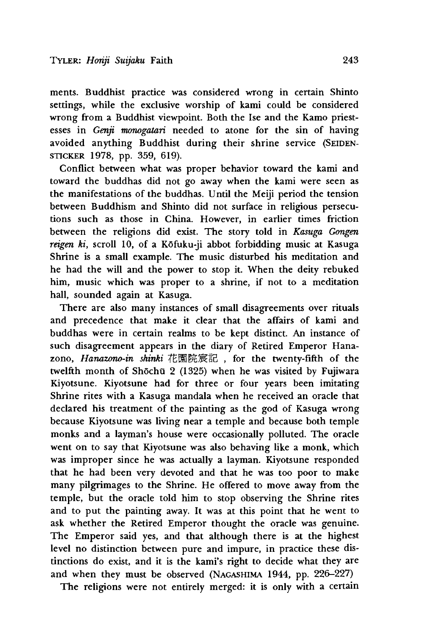ments. Buddhist practice was considered wrong in certain Shinto settings, while the exclusive worship of kami could be considered wrong from a Buddhist viewpoint. Both the Ise and the Kamo priestesses in *Genji monogatari* needed to atone for the sin of having avoided anything Buddhist during their shrine service (SEIDENsticker 1978, pp. 359, 619).

Conflict between what was proper behavior toward the kami and toward the buddhas did not go away when the kami were seen as the manifestations of the buddhas. Until the Meiji period the tension between Buddhism and Shinto did not surface in religious persecutions such as those in China. However, in earlier times friction between the religions did exist. The story told in *Kasuga Gongen* reigen ki, scroll 10, of a Kōfuku-ji abbot forbidding music at Kasuga Shrine is a small example. The music disturbed his meditation and he had the will and the power to stop it. When the deity rebuked him, music which was proper to a shrine, if not to a meditation hall, sounded again at Kasuga.

There are also many instances of small disagreements over rituals and precedence that make it clear that the affairs of kami and buddhas were in certain realms to be kept distinct. An instance of such disagreement appears in the diary of Retired Emperor Hanazono, *Hanazono-in shinki* 花園院宸記, for the twenty-fifth of the twelfth month of Shōchū 2 (1325) when he was visited by Fujiwara Kiyotsune. Kiyotsune had for three or four years been imitating Shrine rites with a Kasuga mandala when he received an oracle that declared his treatment of the painting as the god of Kasuga wrong because Kiyotsune was living near a temple and because both temple monks and a layman's house were occasionally polluted. The oracle went on to say that Kiyotsune was also behaving like a monk, which was improper since he was actually a layman. Kiyotsune responded that he had been very devoted and that he was too poor to make many pilgrimages to the Shrine. He offered to move away from the temple, but the oracle told him to stop observing the Shrine rites and to put the painting away. It was at this point that he went to ask whether the Retired Emperor thought the oracle was genuine. The Emperor said yes, and that although there is at the highest level no distinction between pure and impure, in practice these distinctions do exist, and it is the kami's right to decide what they are and when they must be observed (NAGASHIMA 1944, pp. 226-227)

The religions were not entirely merged: it is only with a certain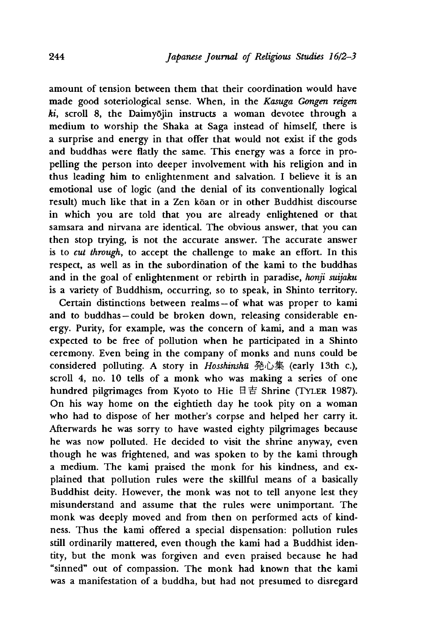amount of tension between them that their coordination would have made good soteriological sense. When,in the *Kasuga Gongen reigen ki*, scroll 8, the Daimyojin instructs a woman devotee through a medium to worship the Shaka at Saga instead of himself, there is a surprise and energy in that offer that would not exist if the gods and buddhas were flatly the same. This energy was a force in propelling the person into deeper involvement with his religion and in thus leading him to enlightenment and salvation. I believe it is an emotional use of logic (and the denial of its conventionally logical result) much like that in a Zen kōan or in other Buddhist discourse in which you are told that you are already enlightened or that samsara and nirvana are identical. The obvious answer, that you can then stop trying, is not the accurate answer. The accurate answer is to *cut through,* to accept the challenge to make an effort. In this respect, as well as in the subordination of the kami to the buddhas and in the goal of enlightenment or rebirth in paradise, *honji suijaku* is a variety of Buddhism, occurring, so to speak, in Shinto territory.

Certain distinctions between realms — of what was proper to kami and to buddhas — could be broken down, releasing considerable energy. Purity, for example, was the concern of kami, and a man was expected to be free of pollution when he participated in a Shinto ceremony. Even being in the company of monks and nuns could be considered polluting. A story in *Hosshinshu* 発心集 (early 13th c.), scroll 4, no. 10 tells of a monk who was making a series of one hundred pilgrimages from Kyoto to Hie 日吉 Shrine (TYLER 1987). On his way home on the eightieth day he took pity on a woman who had to dispose of her mother's corpse and helped her carry it. Afterwards he was sorry to have wasted eighty pilgrimages because he was now polluted. He decided to visit the shrine anyway, even though he was frightened, and was spoken to by the kami through a medium. The kami praised the monk for his kindness, and explained that pollution rules were the skillful means of a basically Buddhist deity. However, the monk was not to tell anyone lest they misunderstand and assume that the rules were unimportant. The monk was deeply moved and from then on performed acts of kindness. Thus the kami offered a special dispensation: pollution rules still ordinarily mattered, even though the kami had a Buddhist identity, but the monk was forgiven and even praised because he had "sinned" out of compassion. The monk had known that the kami was a manifestation of a buddha, but had not presumed to disregard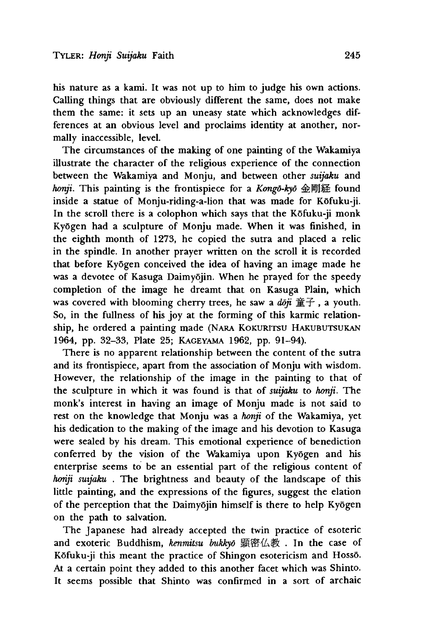his nature as a kami. It was not up to him to judge his own actions. Calling things that are obviously different the same, does not make them the same: it sets up an uneasy state which acknowledges differences at an obvious level and proclaims identity at another, normally inaccessible, level.

The circumstances of the making of one painting of the Wakamiya illustrate the character of the religious experience of the connection between the Wakamiya and Monju, and between other *suijaku* and *honji.* This painting is the frontispiece for a *Kongd-kyd* 金岡!!経 found inside a statue of Monju-riding-a-lion that was made for Kōfuku-ii. In the scroll there is a colophon which says that the Kofuku-ji monk Kyogen had a sculpture of Monju made. When it was finished, in the eighth month of 1273, he copied the sutra and placed a relic in the spindle. In another prayer written on the scroll it is recorded that before Kyogen conceived the idea of having an image made he was a devotee of Kasuga Daimyojin. When he prayed for the speedy completion of the image he dreamt that on Kasuga Plain, which was covered with blooming cherry trees, he saw a  $d\bar{o}\vec{n} \equiv \pm 7$ , a youth. So, in the fullness of his joy at the forming of this karmic relationship, he ordered a painting made (NARA KOKURITSU HAKUBUTSUKAN 1964, pp. 32-33, Plate 25; KAGEYAMA 1962, pp. 91-94).

There is no apparent relationship between the content of the sutra and its frontispiece, apart from the association of Monju with wisdom. However, the relationship of the image in the painting to that of the sculpture in which it was found is that of *suijaku* to *honji.* The monk's interest in having an image of Monju made is not said to rest on the knowledge that Monju was a *honji* of the Wakamiya, yet his dedication to the making of the image and his devotion to Kasuga were sealed by his dream. This emotional experience of benediction conferred by the vision of the Wakamiya upon Kyogen and his enterprise seems to be an essential part of the religious content of *honji suijaku* . The brightness and beauty of the landscape of this little painting, and the expressions of the figures, suggest the elation of the perception that the Daimyōjin himself is there to help Kyōgen on the path to salvation.

The Japanese had already accepted the twin practice of esoteric and exoteric Buddhism, *kenmitsu bukkyd* 顕密仏教. In the case of Kofuku-ji this meant the practice of Shingon esotericism and Hosso. At a certain point they added to this another facet which was Shinto. It seems possible that Shinto was confirmed in a sort of archaic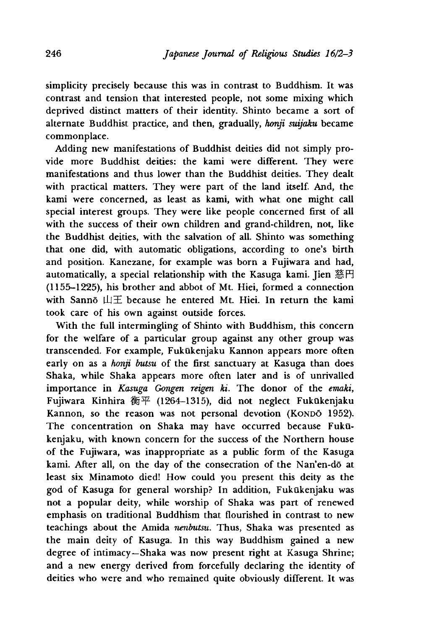simplicity precisely because this was in contrast to Buddhism. It was contrast and tension that interested people, not some mixing which deprived distinct matters of their identity. Shinto became a sort of alternate Buddhist practice, and then, gradually, *honji suijaku* became commonplace.

Adding new manifestations of Buddhist deities did not simply provide more Buddhist deities: the kami were different. They were manifestations and thus lower than the Buddhist deities. They dealt with practical matters. They were part of the land itself. And, the kami were concerned, as least as kami, with what one might call special interest groups. They were like people concerned first of all with the success of their own children and grand-children, not, like the Buddhist deities, with the salvation of all. Shinto was something that one did, with automatic obligations, according to one's birth and position. Kanezane, for example was born a Fujiwara and had, automatically, a special relationship with the Kasuga kami. Jien 慈円 (1155-1225), his brother and abbot of Mt. Hiei, formed a connection with Sanno  $\Pi$  because he entered Mt. Hiei. In return the kami took care of his own against outside forces.

With the full intermingling of Shinto with Buddhism, this concern for the welfare of a particular group against any other group was transcended. For example, Fukūkenjaku Kannon appears more often early on as a *honji butsu* of the first sanctuary at Kasuga than does Shaka, while Shaka appears more often later and is of unrivalled importance in *Kasuga Gongen reigen ki*. The donor of the *emaki*, Fujiwara Kinhira 衡平 (1264-1315), did not neglect Fukūkenjaku Kannon, so the reason was not personal devotion (KONDO 1952). The concentration on Shaka may have occurred because Fukukenjaku, with known concern for the success of the Northern house of the Fujiwara, was inappropriate as a public form of the Kasuga kami. After all, on the day of the consecration of the Nan'en-dō at least six Minamoto died! How could you present this deity as the god of Kasuga for general worship? In addition, Fukūkenjaku was not a popular deity, while worship of Shaka was part of renewed emphasis on traditional Buddhism that flourished in contrast to new teachings about the Amida *nenbutsu.* Thus, Shaka was presented as the main deity of Kasuga. In this way Buddhism gained a new degree of intimacy—Shaka was now present right at Kasuga Shrine; and a new energy derived from forcefully declaring the identity of deities who were and who remained quite obviously different. It was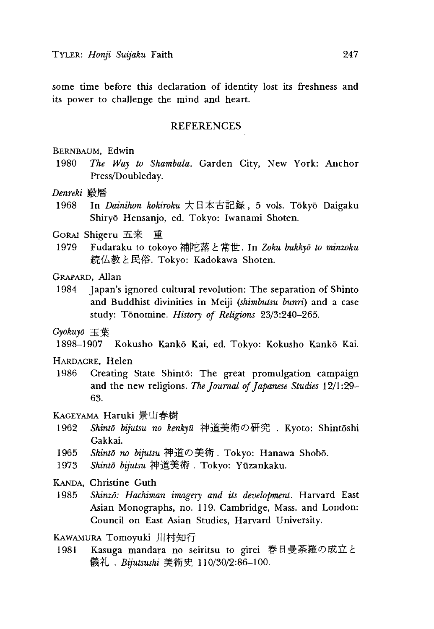some time before this declaration of identity lost its freshness and its power to challenge the mind and heart.

## REFERENCES

#### Bernbaum, Edwin

- 1980 *The Way to Shambala.* Garden City, New York: Anchor Press/Doubleday.
- *Denreki* 殿曆
- 1968 In *Dainihon kokiroku* 大日本古記録, 5 vols. Tōkyō Daigaku Shiryō Hensanjo, ed. Tokyo: Iwanami Shoten.
- GORAI Shigeru 五来 重
- 1979 Fudaraku to tokoyo 補陀落と常世. In *Zoku bukkyd to minzoku* 続仏教と民俗. Tokyo: Kadokawa Shoten.
- Grapard, Allan
- 1984 Japan's ignored cultural revolution: The separation of Shinto and Buddhist divinities in Meiji *(shimbutsu bunri)* and a case study: Tonomine. *History of Religions* 23/3:240-265.
- *Gyokuyd* 玉葉

1898-1907 Kokusho Kanko Kai, ed. Tokyo: Kokusho Kanko Kai.

- Hardacre, Helen
- 1986 Creating State Shinto: The great promulgation campaign and the new religions. *The Journal of Japanese Studies* 12/1:29 63.
- Kageyama Haruki 景山春樹
- 1962 *Shintō bijutsu no kenkyū* 神道美術の研究 . Kyoto: Shintōshi Gakkai.
- 1965 *Shinto no bijutsu* 神道の美術. Tokyo: Hanawa Shobo.
- 1973 Shinto bijutsu 神道美術. Tokyo: Yūzankaku.
- Kanda, Christine Guth
- 1985 *Shinzo: Hachiman imagery and its development.* Harvard East Asian Monographs, no. 119. Cambridge, Mass. and London: Council on East Asian Studies, Harvard University.

Kawamura Tomoyuki 川村知行

1981 Kasuga mandara no seiritsu to girei 春日曼荼維の成立と 儀 礼 *. Bijutsushi* 美術 史110/30/2:86-100.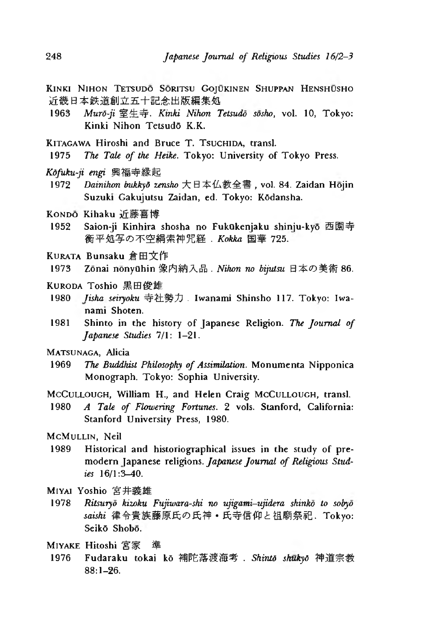- KINKI NIHON TETSUDO SORITSU GOJUKINEN SHUPPAN HENSHUSHO 近畿日本鉄道創立五十記念出版編集処
- 1963 Murō-ji 室生寺. Kinki Nihon Tetsudō sōsho, vol. 10, Tokyo: Kinki Nihon Tetsudo K.K.

KITAGAWA Hiroshi and Bruce T. Tsuchida, transl.

- 1975 *The Tale of the Heike.* Tokyo: University of Tokyo Press.
- *K6fuku-ji engi*興福寺縁起
- 1972 *Dainihon bukkyd zensho* 大日本仏教全書,vol.84. Zaidan Hojin Suzuki Gakujutsu Zaidan, ed. Tokyo: KOdansha.
- Konpo Kihaku 近藤喜博
- 1952 Saion-ji Kinhira shosha no Fukūkenjaku shinju-kyō 西園寺 衡平処写の不空絹索神咒経. *Kokhi*国華 725.
- Kurata Bunsaku 倉田文作
- 1973 Zonai nonyQhin 像内納入品*. Nihon no bijutsu* 日本の美術 86.
- KURODA Toshio 黒田俊雄
- 1980 *Jisha seiryoku* 寺社勢力. Iwanami Shinsho 117. Tokyo: Iwanami Shoten.
- 1981 Shinto in the history of Japanese Religion. *The Journal of Japanese Studies* 7/1: 1-21.

MATSUNAGA, Alicia

- 1969 *The Buddhist Philosophy of Assimilation.* Monumenta Nipponica Monograph. Tokyo: Sophia University.
- McCullough, William H., and Helen Craig McCullough, transl.
- 1980 *A Tale of Flowering Fortunes.* 2 vols. Stanford, California: Stanford University Press, 1980.
- McMullin, Neil
- 1989 Historical and historiographical issues in the study of premodern Japanese religions. *Japanese Journal of Religious Studies* 16/1:3-40.
- Miyai Yoshio宮井義雄
- 1978 *Ritsuryo kizoku Fujiwara-shi no ujigami-ujidera shinko to sobyo saishi*律令貴族藤原氏の氏神• 氏寺信仰と祖廟祭祀. Tokyo: Seiko Shobo.
- MIYAKE Hitoshi 宮家 準
- 1976 Fudaraku tokai k6 補陀落渡海考*. Shintd shukyd* 神道宗教 88:1-26.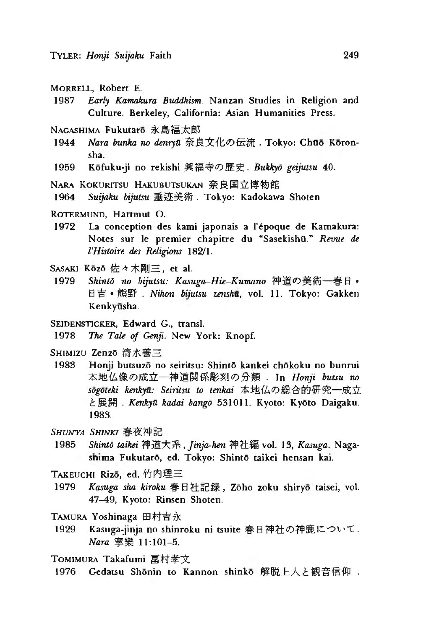- MORRELL. Robert E.
- 1987 *Early Kamakura Buddhism.* Nanzan Studies in Religion and Culture. Berkeley, California: Asian Humanities Press.
- Nagashima Fukutaro 永島福太郎
- 1944 *Nara bunka no denrya* 奈良文化の伝流. Tokyo: Chuō Kōronsha.
- 1959 Kofuku-ji no rekishi 興福寺の歴史*. Bukkyd geijutsu* 40.
- Nara Kokuritsu Hakubutsukan 奈良国立博物館

1964 *Suijaku bijutsu* 垂迹美術. Tokyo: Kadokawa Shoten

- ROTERMUND, Hartmut O.
- 1972 La conception des kami japonais a l'époque de Kamakura: Notes sur le premier chapitre du "SasekishQ." *Revue de I'Histoire des Religions* 182/1.
- SASAKI Kozo 佐々木剛三, et al.
- 1979 *Shintd no bijutsu: Kasuga-Hie-Kumano* 神道の美術一春日• 日吉·熊野. Nihon bijutsu zensha, vol. 11. Tokyo: Gakken Kenkyūsha.
- Seidensticker, Edward G., transl.

1978 *The Tale of Genji.* New York: Knopf.

Shimizu Zenz6清水善三

- 1983 Honji butsuzo no seiritsu: Shinto kankei chokoku no bunrui 本地仏像の成立一神道関係彫刻の分 . In *Honji butsu no* sogoteki kenkya: Seiritsu to tenkai 本地仏の総合的研究––成立 展開*. KenkyU kadai bango* 531011 .Kyoto: KyOto Daigaku. 1983.
- SHUNYA SHINKI 春夜神記
- 1985 *Shintd taikei 神道大系,» h e n* 神社編 vol.13, *Kasuga.* Nagasnima Fukutar6, ed. Toxyo: Shint6 taikei hensan kai.
- TAKEUCHI Rizō, ed. 竹内理三
- 1979 *Kasuga sha kiroku* 春日社記録,Z6ho zoku shiryo taisei, vol. 47-49, Kyoto: Rinsen Shoten.
- Tamura Yoshinaga 田村吉永
- 1929 Kasuga-jinja no shinroku ni tsuite 春日神社の神鹿について. *Nara* 寧樂 11:101-5.

TOMIMURA Takafumi 冨村孝文

1976 Gedatsu Shōnin to Kannon shinkō 解脱上人と観音信仰 .